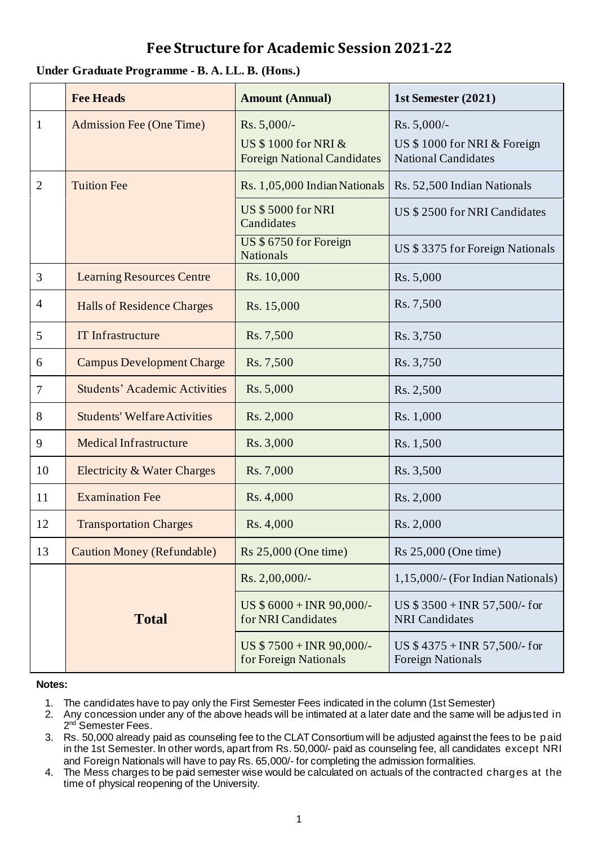## **Fee Structure for Academic Session 2021-22**

## **Under Graduate Programme - B. A. LL. B. (Hons.)**

|                | <b>Fee Heads</b>                     | <b>Amount (Annual)</b>                                                   | 1st Semester (2021)                                                      |
|----------------|--------------------------------------|--------------------------------------------------------------------------|--------------------------------------------------------------------------|
| $\mathbf{1}$   | <b>Admission Fee (One Time)</b>      | Rs. 5,000/-<br>US \$1000 for NRI &<br><b>Foreign National Candidates</b> | Rs. 5,000/-<br>US \$1000 for NRI & Foreign<br><b>National Candidates</b> |
| $\overline{2}$ | <b>Tuition Fee</b>                   | Rs. 1,05,000 Indian Nationals                                            | Rs. 52,500 Indian Nationals                                              |
|                |                                      | <b>US \$5000 for NRI</b><br>Candidates                                   | US \$2500 for NRI Candidates                                             |
|                |                                      | US \$ 6750 for Foreign<br><b>Nationals</b>                               | US \$3375 for Foreign Nationals                                          |
| 3              | <b>Learning Resources Centre</b>     | Rs. 10,000                                                               | Rs. 5,000                                                                |
| $\overline{4}$ | <b>Halls of Residence Charges</b>    | Rs. 15,000                                                               | Rs. 7,500                                                                |
| 5              | <b>IT Infrastructure</b>             | Rs. 7,500                                                                | Rs. 3,750                                                                |
| 6              | <b>Campus Development Charge</b>     | Rs. 7,500                                                                | Rs. 3,750                                                                |
| $\tau$         | <b>Students' Academic Activities</b> | Rs. 5,000                                                                | Rs. 2,500                                                                |
| 8              | <b>Students' Welfare Activities</b>  | Rs. 2,000                                                                | Rs. 1,000                                                                |
| 9              | <b>Medical Infrastructure</b>        | Rs. 3,000                                                                | Rs. 1,500                                                                |
| 10             | Electricity & Water Charges          | Rs. 7,000                                                                | Rs. 3,500                                                                |
| 11             | <b>Examination Fee</b>               | Rs. 4,000                                                                | Rs. 2,000                                                                |
| 12             | <b>Transportation Charges</b>        | Rs. 4,000                                                                | Rs. 2,000                                                                |
| 13             | <b>Caution Money (Refundable)</b>    | Rs 25,000 (One time)                                                     | Rs 25,000 (One time)                                                     |
|                |                                      | Rs. 2,00,000/-                                                           | 1,15,000/- (For Indian Nationals)                                        |
|                | <b>Total</b>                         | US \$6000 + INR 90,000/-<br>for NRI Candidates                           | US $$3500 + INR 57,500/$ - for<br><b>NRI</b> Candidates                  |
|                |                                      | US $$7500 + INR 90,000$ .<br>for Foreign Nationals                       | US $$4375 + INR 57,500/$ - for<br><b>Foreign Nationals</b>               |

## **Notes:**

- 1. The candidates have to pay only the First Semester Fees indicated in the column (1st Semester)
- 2. Any concession under any of the above heads will be intimated at a later date and the same will be adjusted in 2<sup>nd</sup> Semester Fees.
- 3. Rs. 50,000 already paid as counseling fee to the CLAT Consortium will be adjusted against the fees to be paid in the 1st Semester. In other words, apart from Rs. 50,000/- paid as counseling fee, all candidates except NRI and Foreign Nationals will have to pay Rs. 65,000/- for completing the admission formalities.
- 4. The Mess charges to be paid semester wise would be calculated on actuals of the contracted charges at the time of physical reopening of the University.